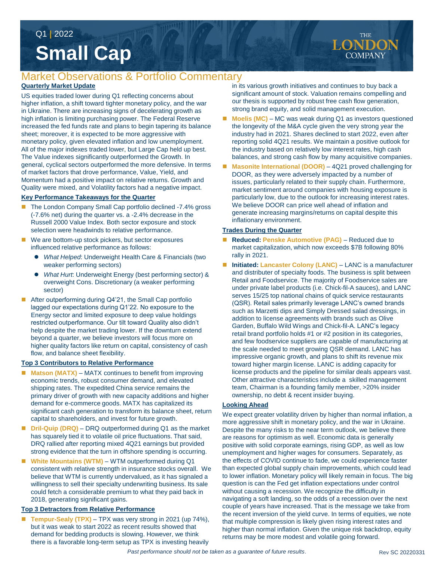# **Small Cap** Q1 **|** 2022

## Market Observations & Portfolio Commentary

### **Quarterly Market Update**

US equities traded lower during Q1 reflecting concerns about higher inflation, a shift toward tighter monetary policy, and the war in Ukraine. There are increasing signs of decelerating growth as high inflation is limiting purchasing power. The Federal Reserve increased the fed funds rate and plans to begin tapering its balance sheet; moreover, it is expected to be more aggressive with monetary policy, given elevated inflation and low unemployment. All of the major indexes traded lower, but Large Cap held up best. The Value indexes significantly outperformed the Growth. In general, cyclical sectors outperformed the more defensive. In terms of market factors that drove performance, Value, Yield, and Momentum had a positive impact on relative returns. Growth and Quality were mixed, and Volatility factors had a negative impact.

#### **Key Performance Takeaways for the Quarter**

- The London Company Small Cap portfolio declined -7.4% gross (-7.6% net) during the quarter vs. a -2.4% decrease in the Russell 2000 Value Index. Both sector exposure and stock selection were headwinds to relative performance.
- We are bottom-up stock pickers, but sector exposures influenced relative performance as follows:
	- *What Helped*: Underweight Health Care & Financials (two weaker performing sectors)
	- *What Hurt*: Underweight Energy (best performing sector) & overweight Cons. Discretionary (a weaker performing sector)
- After outperforming during Q4'21, the Small Cap portfolio lagged our expectations during Q1'22. No exposure to the Energy sector and limited exposure to deep value holdings restricted outperformance. Our tilt toward Quality also didn't help despite the market trading lower. If the downturn extend beyond a quarter, we believe investors will focus more on higher quality factors like return on capital, consistency of cash flow, and balance sheet flexibility.

#### **Top 3 Contributors to Relative Performance**

- **Matson (MATX)** MATX continues to benefit from improving economic trends, robust consumer demand, and elevated shipping rates. The expedited China service remains the primary driver of growth with new capacity additions and higher demand for e-commerce goods. MATX has capitalized its significant cash generation to transform its balance sheet, return capital to shareholders, and invest for future growth.
- Dril-Quip (DRQ) DRQ outperformed during Q1 as the market has squarely tied it to volatile oil price fluctuations. That said, DRQ rallied after reporting mixed 4Q21 earnings but provided strong evidence that the turn in offshore spending is occurring.
- White Mountains (WTM) WTM outperformed during Q1 consistent with relative strength in insurance stocks overall. We believe that WTM is currently undervalued, as it has signaled a willingness to sell their specialty underwriting business. Its sale could fetch a considerable premium to what they paid back in 2018, generating significant gains.

#### **Top 3 Detractors from Relative Performance**

 **Tempur-Sealy (TPX)** – TPX was very strong in 2021 (up 74%), but it was weak to start 2022 as recent results showed that demand for bedding products is slowing. However, we think there is a favorable long-term setup as TPX is investing heavily

in its various growth initiatives and continues to buy back a significant amount of stock. Valuation remains compelling and our thesis is supported by robust free cash flow generation, strong brand equity, and solid management execution.

- **Moelis (MC)** MC was weak during Q1 as investors questioned the longevity of the M&A cycle given the very strong year the industry had in 2021. Shares declined to start 2022, even after reporting solid 4Q21 results. We maintain a positive outlook for the industry based on relatively low interest rates, high cash balances, and strong cash flow by many acquisitive companies.
- **Masonite International (DOOR)** 4Q21 proved challenging for DOOR, as they were adversely impacted by a number of issues, particularly related to their supply chain. Furthermore, market sentiment around companies with housing exposure is particularly low, due to the outlook for increasing interest rates. We believe DOOR can price well ahead of inflation and generate increasing margins/returns on capital despite this inflationary environment.

#### **Trades During the Quarter**

- **Reduced: Penske Automotive (PAG)**  Reduced due to market capitalization, which now exceeds \$7B following 80% rally in 2021.
- Initiated: Lancaster Colony (LANC) LANC is a manufacturer and distributer of specialty foods. The business is split between Retail and Foodservice. The majority of Foodservice sales are under private label products (i.e. Chick-fil-A sauces), and LANC serves 15/25 top national chains of quick service restaurants (QSR). Retail sales primarily leverage LANC's owned brands such as Marzetti dips and Simply Dressed salad dressings, in addition to license agreements with brands such as Olive Garden, Buffalo Wild Wings and Chick-fil-A. LANC's legacy retail brand portfolio holds #1 or #2 position in its categories, and few foodservice suppliers are capable of manufacturing at the scale needed to meet growing QSR demand. LANC has impressive organic growth, and plans to shift its revenue mix toward higher margin license. LANC is adding capacity for license products and the pipeline for similar deals appears vast. Other attractive characteristics include a skilled management team, Chairman is a founding family member, >20% insider ownership, no debt & recent insider buying.

#### **Looking Ahead**

We expect greater volatility driven by higher than normal inflation, a more aggressive shift in monetary policy, and the war in Ukraine. Despite the many risks to the near term outlook, we believe there are reasons for optimism as well. Economic data is generally positive with solid corporate earnings, rising GDP, as well as low unemployment and higher wages for consumers. Separately, as the effects of COVID continue to fade, we could experience faster than expected global supply chain improvements, which could lead to lower inflation. Monetary policy will likely remain in focus. The big question is can the Fed get inflation expectations under control without causing a recession. We recognize the difficulty in navigating a soft landing, so the odds of a recession over the next couple of years have increased. That is the message we take from the recent inversion of the yield curve. In terms of equities, we note that multiple compression is likely given rising interest rates and higher than normal inflation. Given the unique risk backdrop, equity returns may be more modest and volatile going forward.